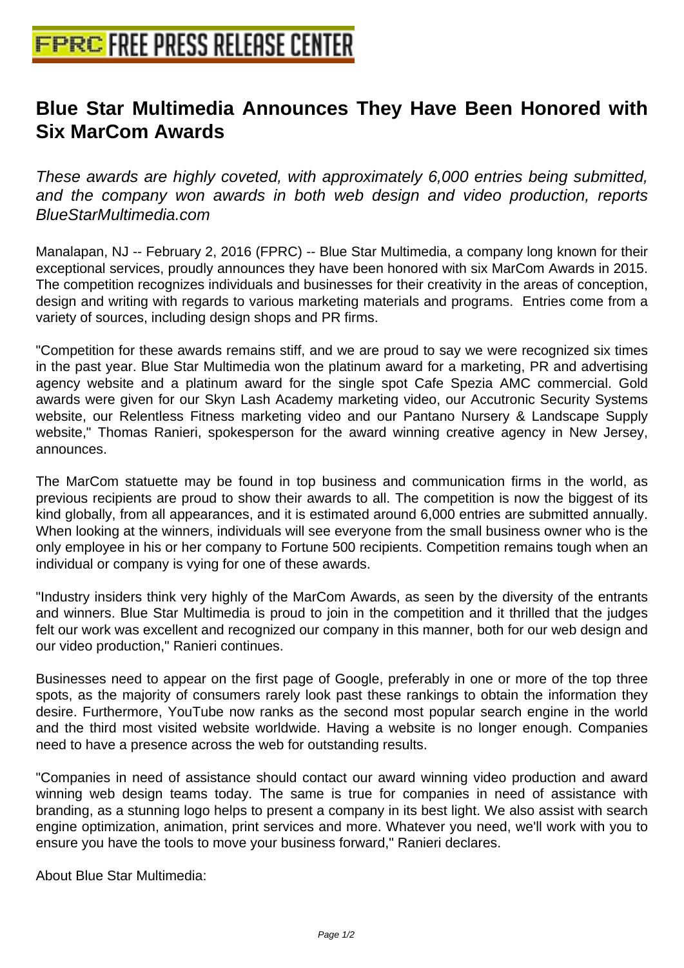## **[Blue Star Multimedia Announces](http://www.free-press-release-center.info) They Have Been Honored with Six MarCom Awards**

These awards are highly coveted, with approximately 6,000 entries being submitted, and the company won awards in both web design and video production, reports BlueStarMultimedia.com

Manalapan, NJ -- February 2, 2016 (FPRC) -- Blue Star Multimedia, a company long known for their exceptional services, proudly announces they have been honored with six MarCom Awards in 2015. The competition recognizes individuals and businesses for their creativity in the areas of conception, design and writing with regards to various marketing materials and programs. Entries come from a variety of sources, including design shops and PR firms.

"Competition for these awards remains stiff, and we are proud to say we were recognized six times in the past year. Blue Star Multimedia won the platinum award for a marketing, PR and advertising agency website and a platinum award for the single spot Cafe Spezia AMC commercial. Gold awards were given for our Skyn Lash Academy marketing video, our Accutronic Security Systems website, our Relentless Fitness marketing video and our Pantano Nursery & Landscape Supply website," Thomas Ranieri, spokesperson for the award winning creative agency in New Jersey, announces.

The MarCom statuette may be found in top business and communication firms in the world, as previous recipients are proud to show their awards to all. The competition is now the biggest of its kind globally, from all appearances, and it is estimated around 6,000 entries are submitted annually. When looking at the winners, individuals will see everyone from the small business owner who is the only employee in his or her company to Fortune 500 recipients. Competition remains tough when an individual or company is vying for one of these awards.

"Industry insiders think very highly of the MarCom Awards, as seen by the diversity of the entrants and winners. Blue Star Multimedia is proud to join in the competition and it thrilled that the judges felt our work was excellent and recognized our company in this manner, both for our web design and our video production," Ranieri continues.

Businesses need to appear on the first page of Google, preferably in one or more of the top three spots, as the majority of consumers rarely look past these rankings to obtain the information they desire. Furthermore, YouTube now ranks as the second most popular search engine in the world and the third most visited website worldwide. Having a website is no longer enough. Companies need to have a presence across the web for outstanding results.

"Companies in need of assistance should contact our award winning video production and award winning web design teams today. The same is true for companies in need of assistance with branding, as a stunning logo helps to present a company in its best light. We also assist with search engine optimization, animation, print services and more. Whatever you need, we'll work with you to ensure you have the tools to move your business forward," Ranieri declares.

About Blue Star Multimedia: